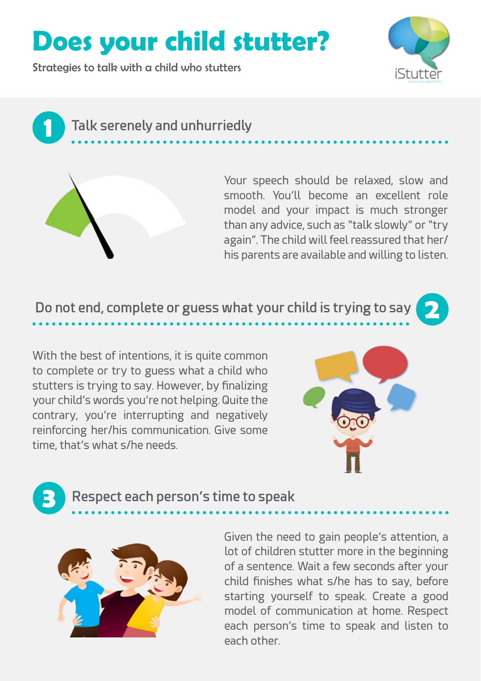## **Does your child stutter?**

Strategies to talk with a child who stutters



**2**

**Talk serenely and unhurriedly**



**1**

Your speech should be relaxed, slow and smooth. You'll become an excellent role model and your impact is much stronger than any advice, such as "talk slowly" or "try again". The child will feel reassured that her/ his parents are available and willing to listen.

## **Do not end, complete or guess what your child is trying to say**

With the best of intentions, it is quite common to complete or try to guess what a child who stutters is trying to say. However, by finalizing your child's words you're not helping. Quite the contrary, you're interrupting and negatively reinforcing her/his communication. Give some time, that's what s/he needs.



## **3 Respect each person's time to speak**



Given the need to gain people's attention, a lot of children stutter more in the beginning of a sentence. Wait a few seconds after your child finishes what s/he has to say, before starting yourself to speak. Create a good model of communication at home. Respect each person's time to speak and listen to each other.